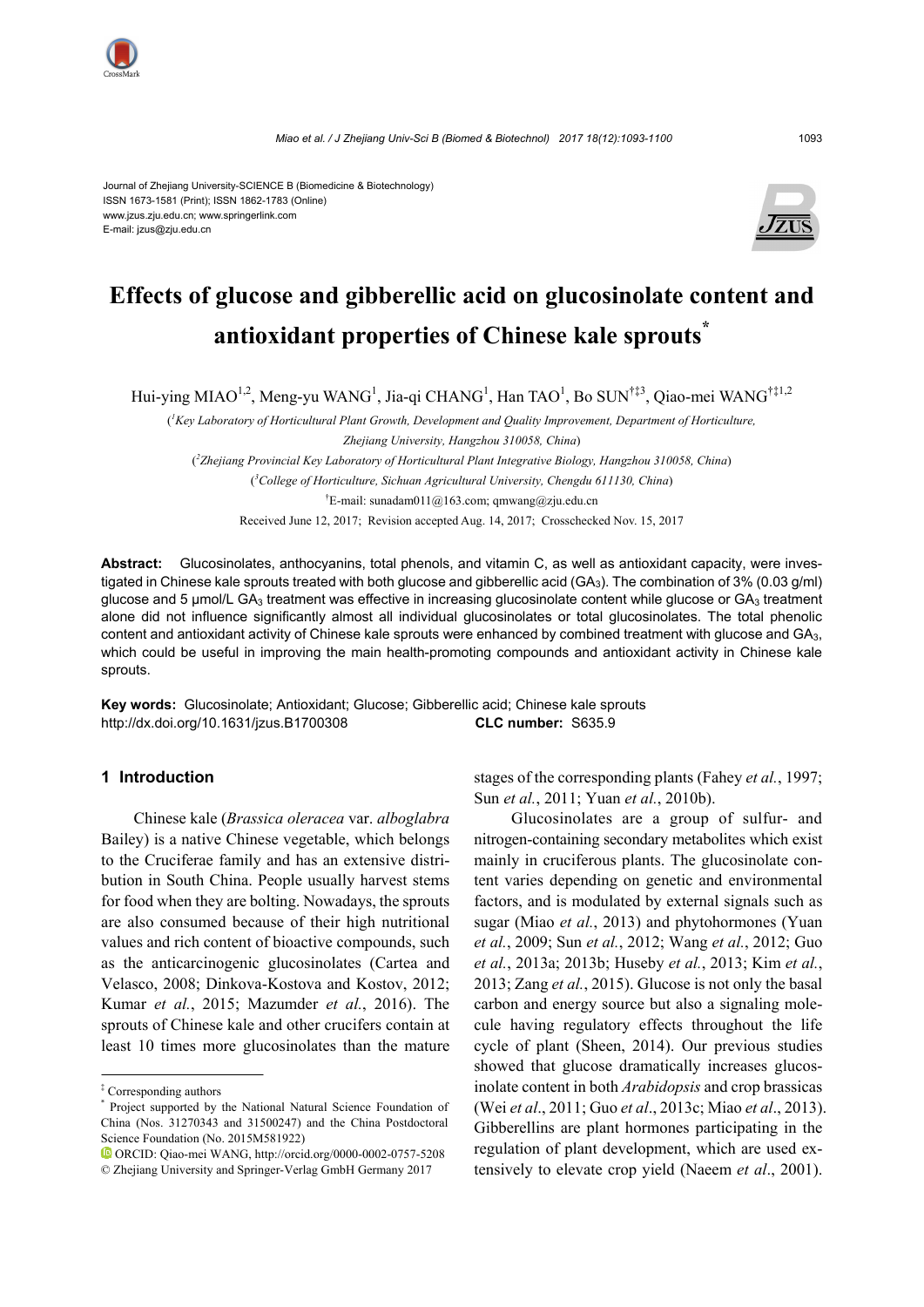

Journal of Zhejiang University-SCIENCE B (Biomedicine & Biotechnology) ISSN 1673-1581 (Print); ISSN 1862-1783 (Online) www.jzus.zju.edu.cn; www.springerlink.com E-mail: jzus@zju.edu.cn



# **Effects of glucose and gibberellic acid on glucosinolate content and antioxidant properties of Chinese kale sprouts\***

Hui-ying MIAO<sup>1,2</sup>, Meng-yu WANG<sup>1</sup>, Jia-qi CHANG<sup>1</sup>, Han TAO<sup>1</sup>, Bo SUN<sup>†‡3</sup>, Qiao-mei WANG<sup>†‡1,2</sup>

( *1 Key Laboratory of Horticultural Plant Growth, Development and Quality Improvement, Department of Horticulture, Zhejiang University, Hangzhou 310058, China*) ( *2 Zhejiang Provincial Key Laboratory of Horticultural Plant Integrative Biology, Hangzhou 310058, China*) ( *3 College of Horticulture, Sichuan Agricultural University, Chengdu 611130, China*) † E-mail: sunadam011@163.com; qmwang@zju.edu.cn Received June 12, 2017; Revision accepted Aug. 14, 2017; Crosschecked Nov. 15, 2017

**Abstract:** Glucosinolates, anthocyanins, total phenols, and vitamin C, as well as antioxidant capacity, were investigated in Chinese kale sprouts treated with both glucose and gibberellic acid (GA<sub>3</sub>). The combination of 3% (0.03 g/ml) glucose and 5  $\mu$ mol/L GA<sub>3</sub> treatment was effective in increasing glucosinolate content while glucose or GA<sub>3</sub> treatment alone did not influence significantly almost all individual glucosinolates or total glucosinolates. The total phenolic content and antioxidant activity of Chinese kale sprouts were enhanced by combined treatment with glucose and  $GA<sub>3</sub>$ , which could be useful in improving the main health-promoting compounds and antioxidant activity in Chinese kale sprouts.

**Key words:** Glucosinolate; Antioxidant; Glucose; Gibberellic acid; Chinese kale sprouts http://dx.doi.org/10.1631/jzus.B1700308 **CLC number:** S635.9

# **1 Introduction**

Chinese kale (*Brassica oleracea* var. *alboglabra* Bailey) is a native Chinese vegetable, which belongs to the Cruciferae family and has an extensive distribution in South China. People usually harvest stems for food when they are bolting. Nowadays, the sprouts are also consumed because of their high nutritional values and rich content of bioactive compounds, such as the anticarcinogenic glucosinolates (Cartea and Velasco, 2008; Dinkova-Kostova and Kostov, 2012; Kumar *et al.*, 2015; Mazumder *et al.*, 2016). The sprouts of Chinese kale and other crucifers contain at least 10 times more glucosinolates than the mature stages of the corresponding plants (Fahey *et al.*, 1997; Sun *et al.*, 2011; Yuan *et al.*, 2010b).

Glucosinolates are a group of sulfur- and nitrogen-containing secondary metabolites which exist mainly in cruciferous plants. The glucosinolate content varies depending on genetic and environmental factors, and is modulated by external signals such as sugar (Miao *et al.*, 2013) and phytohormones (Yuan *et al.*, 2009; Sun *et al.*, 2012; Wang *et al.*, 2012; Guo *et al.*, 2013a; 2013b; Huseby *et al.*, 2013; Kim *et al.*, 2013; Zang *et al.*, 2015). Glucose is not only the basal carbon and energy source but also a signaling molecule having regulatory effects throughout the life cycle of plant (Sheen, 2014). Our previous studies showed that glucose dramatically increases glucosinolate content in both *Arabidopsis* and crop brassicas (Wei *et al*., 2011; Guo *et al*., 2013c; Miao *et al*., 2013). Gibberellins are plant hormones participating in the regulation of plant development, which are used extensively to elevate crop yield (Naeem *et al*., 2001).

<sup>‡</sup> Corresponding authors

<sup>\*</sup> Project supported by the National Natural Science Foundation of China (Nos. 31270343 and 31500247) and the China Postdoctoral Science Foundation (No. 2015M581922)

ORCID: Qiao-mei WANG, http://orcid.org/0000-0002-0757-5208 © Zhejiang University and Springer-Verlag GmbH Germany 2017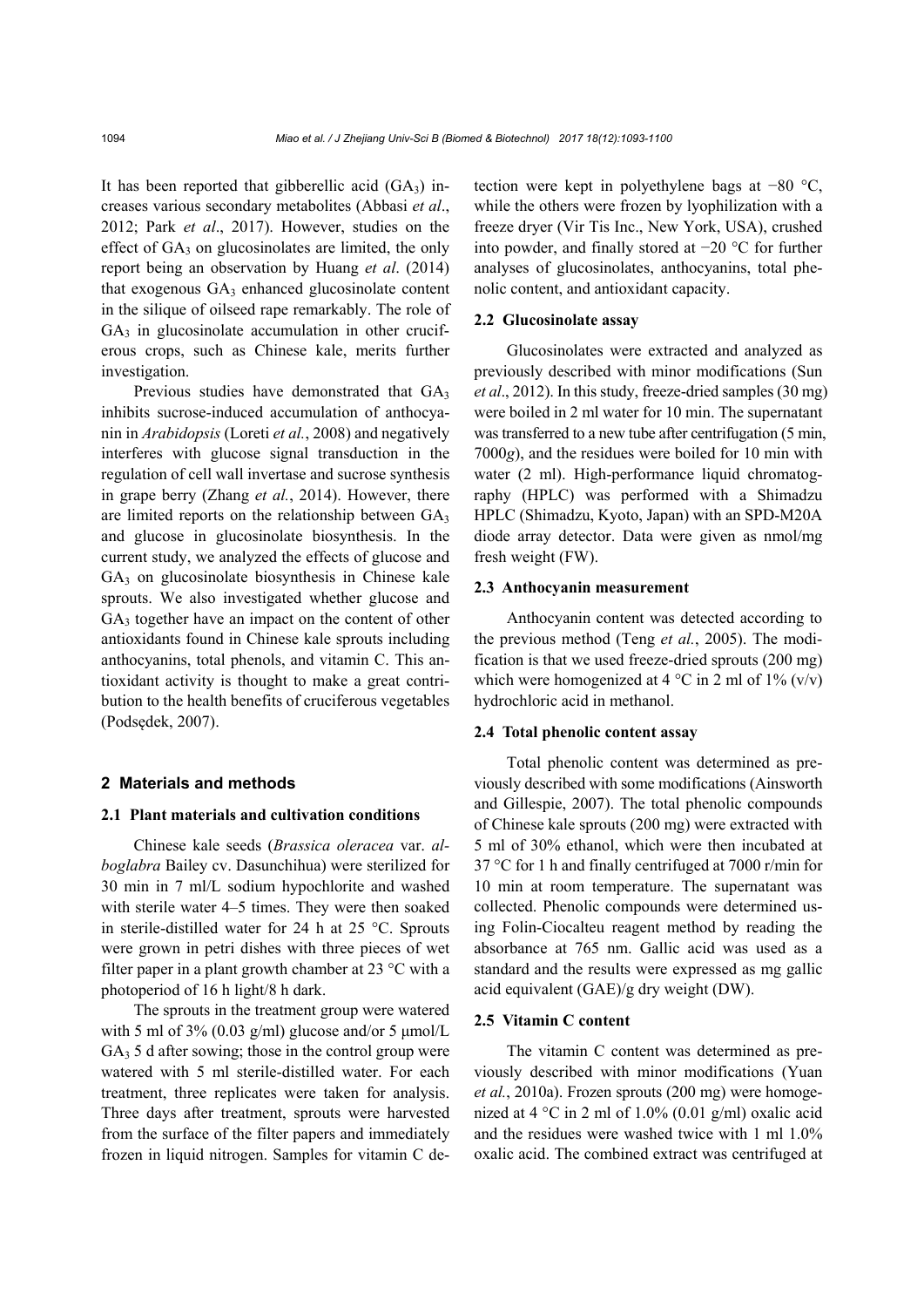It has been reported that gibberellic acid  $(GA_3)$  increases various secondary metabolites (Abbasi *et al*., 2012; Park *et al*., 2017). However, studies on the effect of GA<sub>3</sub> on glucosinolates are limited, the only report being an observation by Huang *et al*. (2014) that exogenous  $GA_3$  enhanced glucosinolate content in the silique of oilseed rape remarkably. The role of  $GA<sub>3</sub>$  in glucosinolate accumulation in other cruciferous crops, such as Chinese kale, merits further investigation.

Previous studies have demonstrated that  $GA_3$ inhibits sucrose-induced accumulation of anthocyanin in *Arabidopsis* (Loreti *et al.*, 2008) and negatively interferes with glucose signal transduction in the regulation of cell wall invertase and sucrose synthesis in grape berry (Zhang *et al.*, 2014). However, there are limited reports on the relationship between GA3 and glucose in glucosinolate biosynthesis. In the current study, we analyzed the effects of glucose and  $GA<sub>3</sub>$  on glucosinolate biosynthesis in Chinese kale sprouts. We also investigated whether glucose and  $GA<sub>3</sub>$  together have an impact on the content of other antioxidants found in Chinese kale sprouts including anthocyanins, total phenols, and vitamin C. This antioxidant activity is thought to make a great contribution to the health benefits of cruciferous vegetables (Podsędek, 2007).

#### **2 Materials and methods**

#### **2.1 Plant materials and cultivation conditions**

Chinese kale seeds (*Brassica oleracea* var. *alboglabra* Bailey cv. Dasunchihua) were sterilized for 30 min in 7 ml/L sodium hypochlorite and washed with sterile water 4–5 times. They were then soaked in sterile-distilled water for 24 h at 25 °C. Sprouts were grown in petri dishes with three pieces of wet filter paper in a plant growth chamber at 23 °C with a photoperiod of 16 h light/8 h dark.

The sprouts in the treatment group were watered with 5 ml of 3% (0.03 g/ml) glucose and/or 5  $\mu$ mol/L  $GA<sub>3</sub> 5$  d after sowing; those in the control group were watered with 5 ml sterile-distilled water. For each treatment, three replicates were taken for analysis. Three days after treatment, sprouts were harvested from the surface of the filter papers and immediately frozen in liquid nitrogen. Samples for vitamin C detection were kept in polyethylene bags at −80 °C, while the others were frozen by lyophilization with a freeze dryer (Vir Tis Inc., New York, USA), crushed into powder, and finally stored at −20 °C for further analyses of glucosinolates, anthocyanins, total phenolic content, and antioxidant capacity.

#### **2.2 Glucosinolate assay**

Glucosinolates were extracted and analyzed as previously described with minor modifications (Sun *et al*., 2012). In this study, freeze-dried samples (30 mg) were boiled in 2 ml water for 10 min. The supernatant was transferred to a new tube after centrifugation (5 min, 7000*g*), and the residues were boiled for 10 min with water (2 ml). High-performance liquid chromatography (HPLC) was performed with a Shimadzu HPLC (Shimadzu, Kyoto, Japan) with an SPD-M20A diode array detector. Data were given as nmol/mg fresh weight (FW).

# **2.3 Anthocyanin measurement**

Anthocyanin content was detected according to the previous method (Teng *et al.*, 2005). The modification is that we used freeze-dried sprouts (200 mg) which were homogenized at  $4^{\circ}$ C in 2 ml of  $1\%$  (v/v) hydrochloric acid in methanol.

#### **2.4 Total phenolic content assay**

Total phenolic content was determined as previously described with some modifications (Ainsworth and Gillespie, 2007). The total phenolic compounds of Chinese kale sprouts (200 mg) were extracted with 5 ml of 30% ethanol, which were then incubated at 37 °C for 1 h and finally centrifuged at 7000 r/min for 10 min at room temperature. The supernatant was collected. Phenolic compounds were determined using Folin-Ciocalteu reagent method by reading the absorbance at 765 nm. Gallic acid was used as a standard and the results were expressed as mg gallic acid equivalent (GAE)/g dry weight (DW).

### **2.5 Vitamin C content**

The vitamin C content was determined as previously described with minor modifications (Yuan *et al.*, 2010a). Frozen sprouts (200 mg) were homogenized at 4  $\degree$ C in 2 ml of 1.0% (0.01 g/ml) oxalic acid and the residues were washed twice with 1 ml 1.0% oxalic acid. The combined extract was centrifuged at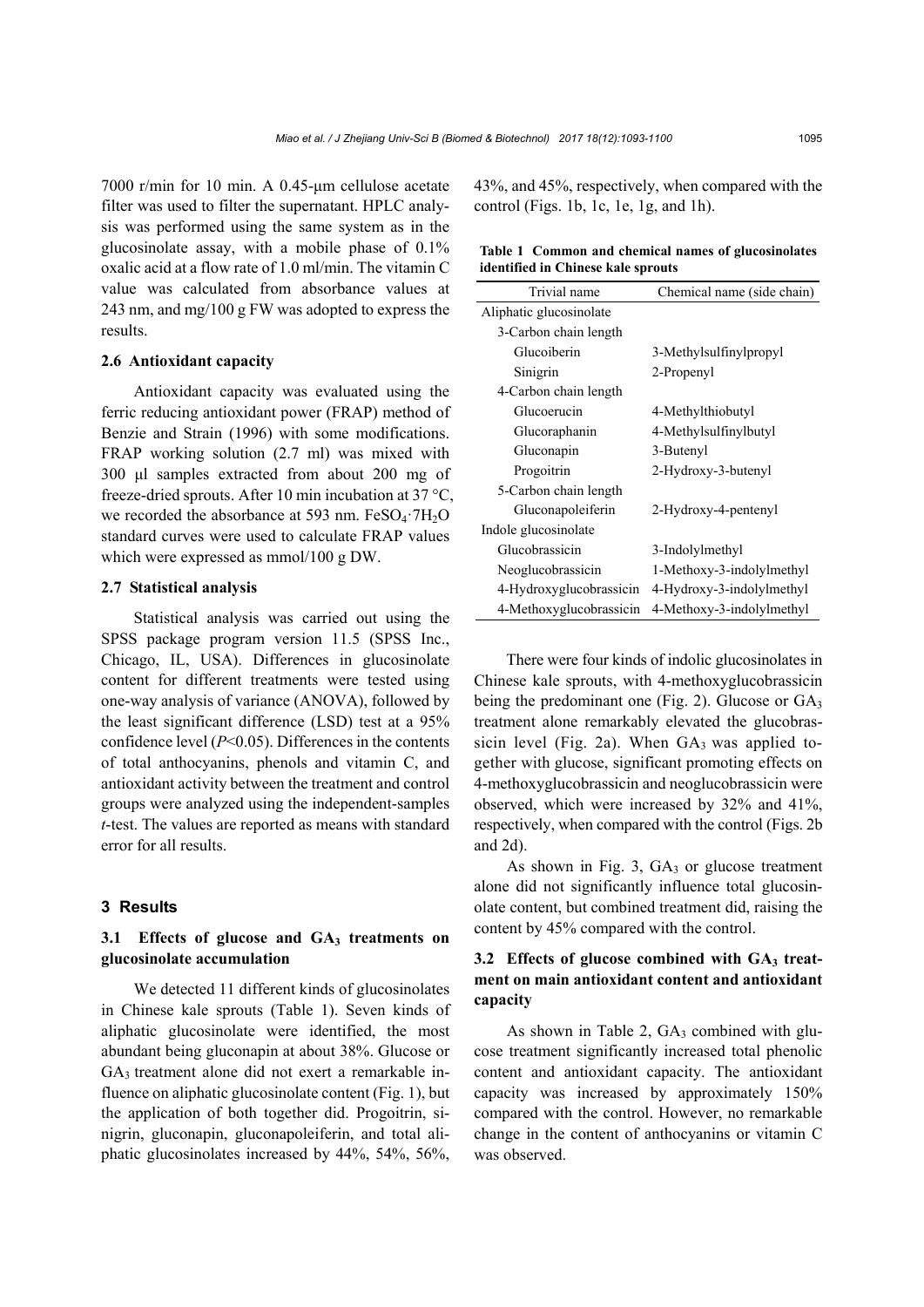7000 r/min for 10 min. A 0.45-μm cellulose acetate filter was used to filter the supernatant. HPLC analysis was performed using the same system as in the glucosinolate assay, with a mobile phase of 0.1% oxalic acid at a flow rate of 1.0 ml/min. The vitamin C value was calculated from absorbance values at 243 nm, and mg/100 g FW was adopted to express the results.

#### **2.6 Antioxidant capacity**

Antioxidant capacity was evaluated using the ferric reducing antioxidant power (FRAP) method of Benzie and Strain (1996) with some modifications. FRAP working solution (2.7 ml) was mixed with 300 μl samples extracted from about 200 mg of freeze-dried sprouts. After 10 min incubation at 37 °C, we recorded the absorbance at 593 nm.  $FeSO<sub>4</sub>·7H<sub>2</sub>O$ standard curves were used to calculate FRAP values which were expressed as mmol/100 g DW.

# **2.7 Statistical analysis**

Statistical analysis was carried out using the SPSS package program version 11.5 (SPSS Inc., Chicago, IL, USA). Differences in glucosinolate content for different treatments were tested using one-way analysis of variance (ANOVA), followed by the least significant difference (LSD) test at a 95% confidence level (*P*<0.05). Differences in the contents of total anthocyanins, phenols and vitamin C, and antioxidant activity between the treatment and control groups were analyzed using the independent-samples *t*-test. The values are reported as means with standard error for all results.

#### **3 Results**

# 3.1 Effects of glucose and GA<sub>3</sub> treatments on **glucosinolate accumulation**

We detected 11 different kinds of glucosinolates in Chinese kale sprouts (Table 1). Seven kinds of aliphatic glucosinolate were identified, the most abundant being gluconapin at about 38%. Glucose or  $GA<sub>3</sub>$  treatment alone did not exert a remarkable influence on aliphatic glucosinolate content (Fig. 1), but the application of both together did. Progoitrin, sinigrin, gluconapin, gluconapoleiferin, and total aliphatic glucosinolates increased by 44%, 54%, 56%,

43%, and 45%, respectively, when compared with the control (Figs. 1b, 1c, 1e, 1g, and 1h).

#### **Table 1 Common and chemical names of glucosinolates identified in Chinese kale sprouts**

| Trivial name            | Chemical name (side chain) |  |
|-------------------------|----------------------------|--|
| Aliphatic glucosinolate |                            |  |
| 3-Carbon chain length   |                            |  |
| Glucoiberin             | 3-Methylsulfinylpropyl     |  |
| Sinigrin                | 2-Propenyl                 |  |
| 4-Carbon chain length   |                            |  |
| Glucoerucin             | 4-Methylthiobutyl          |  |
| Glucoraphanin           | 4-Methylsulfinylbutyl      |  |
| Gluconapin              | 3-Butenyl                  |  |
| Progoitrin              | 2-Hydroxy-3-butenyl        |  |
| 5-Carbon chain length   |                            |  |
| Gluconapoleiferin       | 2-Hydroxy-4-pentenyl       |  |
| Indole glucosinolate    |                            |  |
| Glucobrassicin          | 3-Indolylmethyl            |  |
| Neoglucobrassicin       | 1-Methoxy-3-indolylmethyl  |  |
| 4-Hydroxyglucobrassicin | 4-Hydroxy-3-indolylmethyl  |  |
| 4-Methoxyglucobrassicin | 4-Methoxy-3-indolylmethyl  |  |

There were four kinds of indolic glucosinolates in Chinese kale sprouts, with 4-methoxyglucobrassicin being the predominant one (Fig. 2). Glucose or  $GA_3$ treatment alone remarkably elevated the glucobrassicin level (Fig. 2a). When  $GA_3$  was applied together with glucose, significant promoting effects on 4-methoxyglucobrassicin and neoglucobrassicin were observed, which were increased by 32% and 41%, respectively, when compared with the control (Figs. 2b and 2d).

As shown in Fig. 3,  $GA_3$  or glucose treatment alone did not significantly influence total glucosinolate content, but combined treatment did, raising the content by 45% compared with the control.

# 3.2 Effects of glucose combined with GA<sub>3</sub> treat**ment on main antioxidant content and antioxidant capacity**

As shown in Table 2,  $GA_3$  combined with glucose treatment significantly increased total phenolic content and antioxidant capacity. The antioxidant capacity was increased by approximately 150% compared with the control. However, no remarkable change in the content of anthocyanins or vitamin C was observed.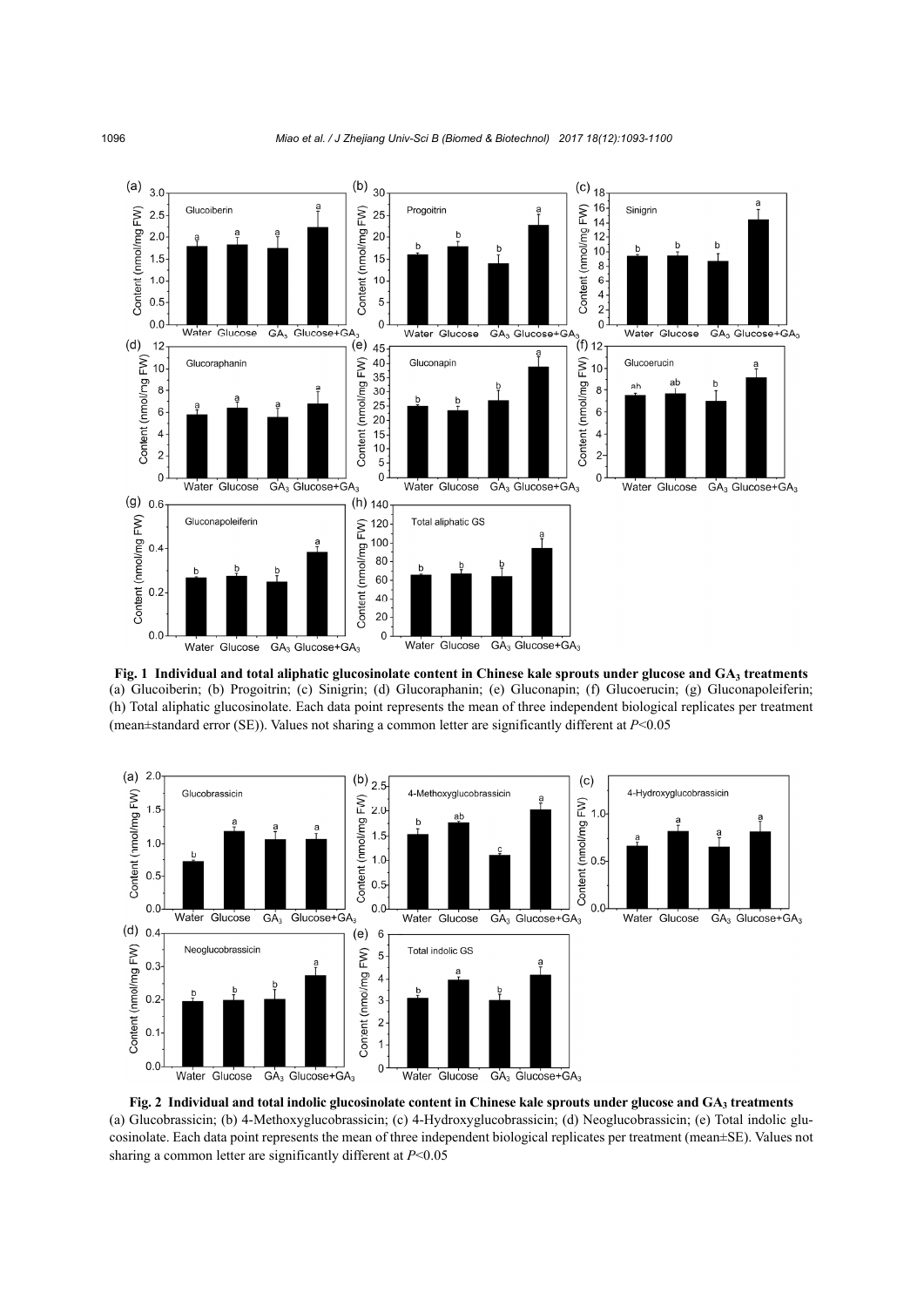

**Fig. 1 Individual and total aliphatic glucosinolate content in Chinese kale sprouts under glucose and GA3 treatments** (a) Glucoiberin; (b) Progoitrin; (c) Sinigrin; (d) Glucoraphanin; (e) Gluconapin; (f) Glucoerucin; (g) Gluconapoleiferin; (h) Total aliphatic glucosinolate. Each data point represents the mean of three independent biological replicates per treatment (mean±standard error (SE)). Values not sharing a common letter are significantly different at *P*<0.05



Fig. 2 Individual and total indolic glucosinolate content in Chinese kale sprouts under glucose and GA<sub>3</sub> treatments (a) Glucobrassicin; (b) 4-Methoxyglucobrassicin; (c) 4-Hydroxyglucobrassicin; (d) Neoglucobrassicin; (e) Total indolic glucosinolate. Each data point represents the mean of three independent biological replicates per treatment (mean±SE). Values not sharing a common letter are significantly different at *P*<0.05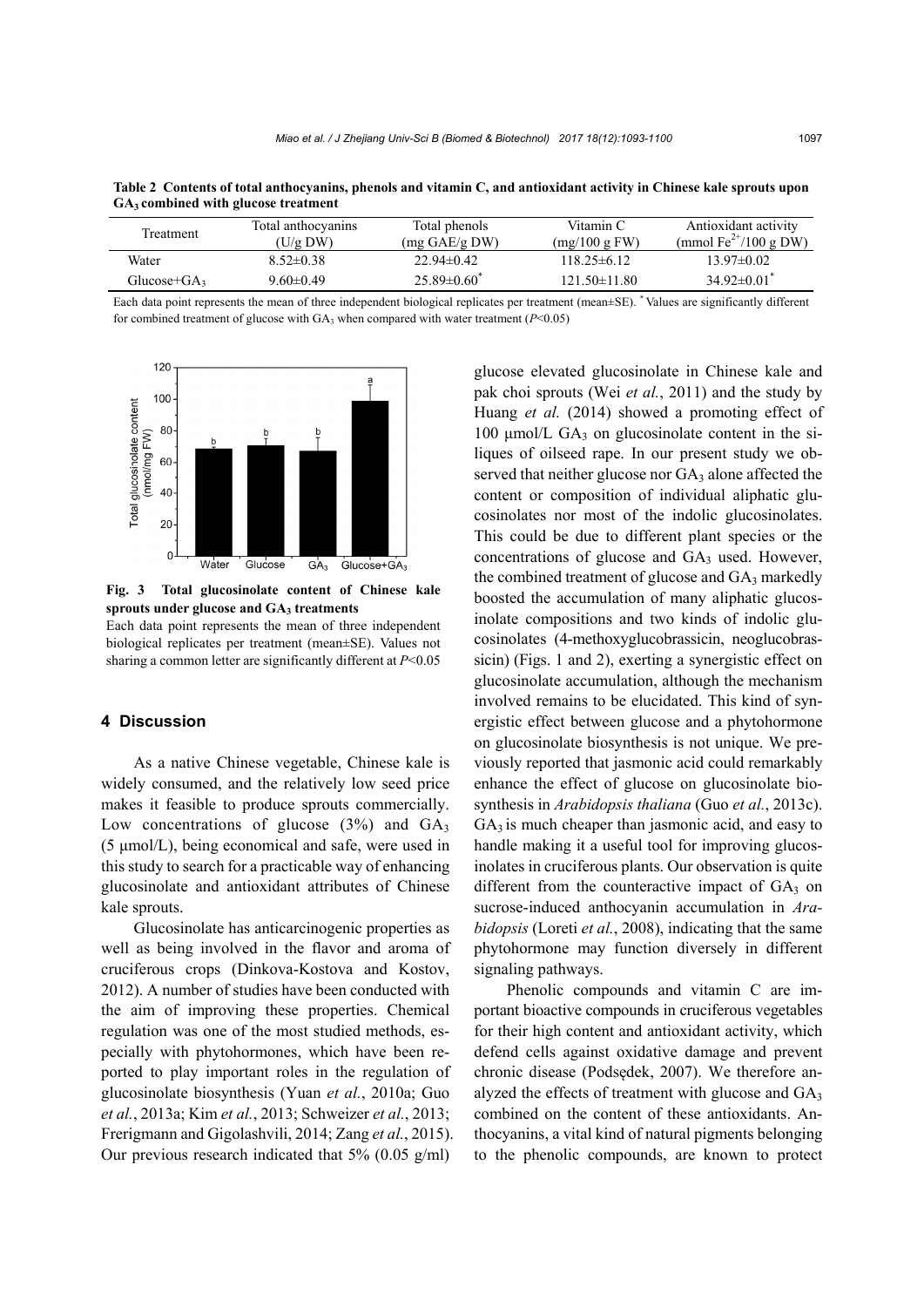| Treatment       | Total anthocyanins<br>$(U/g \, DW)$ | Total phenols<br>$(mg \text{ GAE/g DW})$ | Vitamin C<br>(mg/100 g FW) | Antioxidant activity<br>(mmol $Fe^{2+}/100 g$ DW) |
|-----------------|-------------------------------------|------------------------------------------|----------------------------|---------------------------------------------------|
| Water           | $8.52 \pm 0.38$                     | $22.94\pm0.42$                           | $118.25\pm 6.12$           | $13.97\pm0.02$                                    |
| Glucose+ $GA_3$ | $9.60 \pm 0.49$                     | $25.89\pm0.60^*$                         | $121.50 \pm 11.80$         | 34 92 $\pm$ 0 01 <sup>*</sup>                     |

**Table 2 Contents of total anthocyanins, phenols and vitamin C, and antioxidant activity in Chinese kale sprouts upon GA3 combined with glucose treatment** 

Each data point represents the mean of three independent biological replicates per treatment (mean±SE). \* Values are significantly different for combined treatment of glucose with  $GA_3$  when compared with water treatment ( $P<0.05$ )



**Fig. 3 Total glucosinolate content of Chinese kale** sprouts under glucose and GA<sub>3</sub> treatments

Each data point represents the mean of three independent biological replicates per treatment (mean±SE). Values not sharing a common letter are significantly different at *P*<0.05

# **4 Discussion**

As a native Chinese vegetable, Chinese kale is widely consumed, and the relatively low seed price makes it feasible to produce sprouts commercially. Low concentrations of glucose  $(3%)$  and  $GA_3$ (5 μmol/L), being economical and safe, were used in this study to search for a practicable way of enhancing glucosinolate and antioxidant attributes of Chinese kale sprouts.

Glucosinolate has anticarcinogenic properties as well as being involved in the flavor and aroma of cruciferous crops (Dinkova-Kostova and Kostov, 2012). A number of studies have been conducted with the aim of improving these properties. Chemical regulation was one of the most studied methods, especially with phytohormones, which have been reported to play important roles in the regulation of glucosinolate biosynthesis (Yuan *et al.*, 2010a; Guo *et al.*, 2013a; Kim *et al.*, 2013; Schweizer *et al.*, 2013; Frerigmann and Gigolashvili, 2014; Zang *et al.*, 2015). Our previous research indicated that  $5\%$  (0.05 g/ml)

glucose elevated glucosinolate in Chinese kale and pak choi sprouts (Wei *et al.*, 2011) and the study by Huang *et al.* (2014) showed a promoting effect of  $100 \mu$ mol/L GA<sub>3</sub> on glucosinolate content in the siliques of oilseed rape. In our present study we observed that neither glucose nor  $GA_3$  alone affected the content or composition of individual aliphatic glucosinolates nor most of the indolic glucosinolates. This could be due to different plant species or the concentrations of glucose and GA3 used. However, the combined treatment of glucose and GA3 markedly boosted the accumulation of many aliphatic glucosinolate compositions and two kinds of indolic glucosinolates (4-methoxyglucobrassicin, neoglucobrassicin) (Figs. 1 and 2), exerting a synergistic effect on glucosinolate accumulation, although the mechanism involved remains to be elucidated. This kind of synergistic effect between glucose and a phytohormone on glucosinolate biosynthesis is not unique. We previously reported that jasmonic acid could remarkably enhance the effect of glucose on glucosinolate biosynthesis in *Arabidopsis thaliana* (Guo *et al.*, 2013c).  $GA<sub>3</sub>$  is much cheaper than jasmonic acid, and easy to handle making it a useful tool for improving glucosinolates in cruciferous plants. Our observation is quite different from the counteractive impact of  $GA_3$  on sucrose-induced anthocyanin accumulation in *Arabidopsis* (Loreti *et al.*, 2008), indicating that the same phytohormone may function diversely in different signaling pathways.

Phenolic compounds and vitamin C are important bioactive compounds in cruciferous vegetables for their high content and antioxidant activity, which defend cells against oxidative damage and prevent chronic disease (Podsędek, 2007). We therefore analyzed the effects of treatment with glucose and  $GA<sub>3</sub>$ combined on the content of these antioxidants. Anthocyanins, a vital kind of natural pigments belonging to the phenolic compounds, are known to protect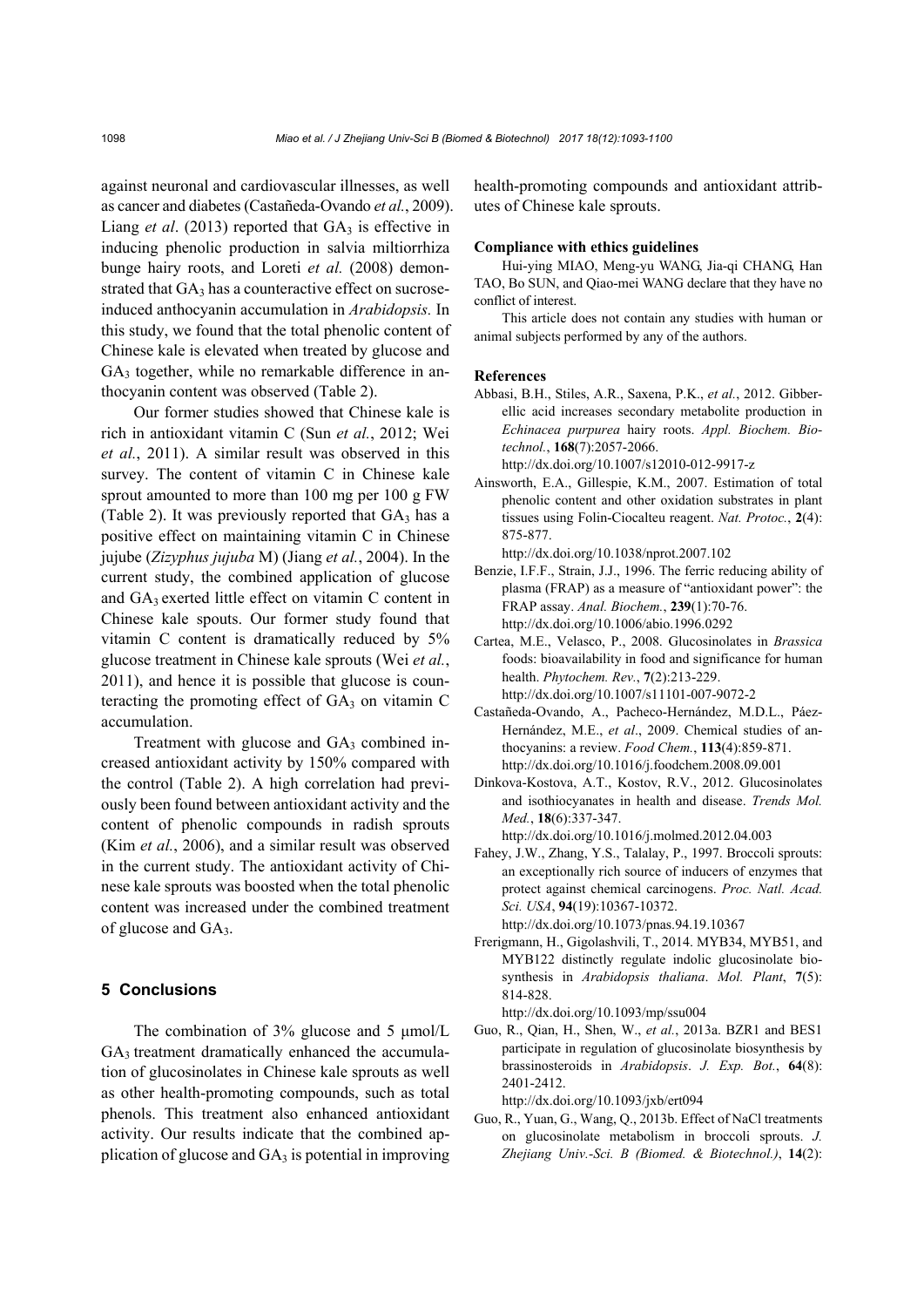against neuronal and cardiovascular illnesses, as well as cancer and diabetes (Castañeda-Ovando *et al.*, 2009). Liang *et al.* (2013) reported that  $GA_3$  is effective in inducing phenolic production in salvia miltiorrhiza bunge hairy roots, and Loreti *et al.* (2008) demonstrated that  $GA_3$  has a counteractive effect on sucroseinduced anthocyanin accumulation in *Arabidopsis.* In this study, we found that the total phenolic content of Chinese kale is elevated when treated by glucose and  $GA<sub>3</sub>$  together, while no remarkable difference in anthocyanin content was observed (Table 2).

Our former studies showed that Chinese kale is rich in antioxidant vitamin C (Sun *et al.*, 2012; Wei *et al.*, 2011). A similar result was observed in this survey. The content of vitamin C in Chinese kale sprout amounted to more than 100 mg per 100 g FW (Table 2). It was previously reported that  $GA_3$  has a positive effect on maintaining vitamin C in Chinese jujube (*Zizyphus jujuba* M) (Jiang *et al.*, 2004). In the current study, the combined application of glucose and GA3 exerted little effect on vitamin C content in Chinese kale spouts. Our former study found that vitamin C content is dramatically reduced by 5% glucose treatment in Chinese kale sprouts (Wei *et al.*, 2011), and hence it is possible that glucose is counteracting the promoting effect of  $GA<sub>3</sub>$  on vitamin C accumulation.

Treatment with glucose and GA<sub>3</sub> combined increased antioxidant activity by 150% compared with the control (Table 2). A high correlation had previously been found between antioxidant activity and the content of phenolic compounds in radish sprouts (Kim *et al.*, 2006), and a similar result was observed in the current study. The antioxidant activity of Chinese kale sprouts was boosted when the total phenolic content was increased under the combined treatment of glucose and GA3.

#### **5 Conclusions**

The combination of 3% glucose and 5 μmol/L GA<sub>3</sub> treatment dramatically enhanced the accumulation of glucosinolates in Chinese kale sprouts as well as other health-promoting compounds, such as total phenols. This treatment also enhanced antioxidant activity. Our results indicate that the combined application of glucose and  $GA_3$  is potential in improving health-promoting compounds and antioxidant attributes of Chinese kale sprouts.

#### **Compliance with ethics guidelines**

Hui-ying MIAO, Meng-yu WANG, Jia-qi CHANG, Han TAO, Bo SUN, and Qiao-mei WANG declare that they have no conflict of interest.

This article does not contain any studies with human or animal subjects performed by any of the authors.

#### **References**

- Abbasi, B.H., Stiles, A.R., Saxena, P.K., *et al.*, 2012. Gibberellic acid increases secondary metabolite production in *Echinacea purpurea* hairy roots. *Appl. Biochem. Biotechnol.*, **168**(7):2057-2066.
	- http://dx.doi.org/10.1007/s12010-012-9917-z
- Ainsworth, E.A., Gillespie, K.M., 2007. Estimation of total phenolic content and other oxidation substrates in plant tissues using Folin-Ciocalteu reagent. *Nat. Protoc.*, **2**(4): 875-877.

http://dx.doi.org/10.1038/nprot.2007.102

- Benzie, I.F.F., Strain, J.J., 1996. The ferric reducing ability of plasma (FRAP) as a measure of "antioxidant power": the FRAP assay. *Anal. Biochem.*, **239**(1):70-76. http://dx.doi.org/10.1006/abio.1996.0292
- Cartea, M.E., Velasco, P., 2008. Glucosinolates in *Brassica* foods: bioavailability in food and significance for human health. *Phytochem. Rev.*, **7**(2):213-229. http://dx.doi.org/10.1007/s11101-007-9072-2
- Castañeda-Ovando, A., Pacheco-Hernández, M.D.L., Páez-Hernández, M.E., *et al*., 2009. Chemical studies of anthocyanins: a review. *Food Chem.*, **113**(4):859-871. http://dx.doi.org/10.1016/j.foodchem.2008.09.001
- Dinkova-Kostova, A.T., Kostov, R.V., 2012. Glucosinolates and isothiocyanates in health and disease. *Trends Mol. Med.*, **18**(6):337-347. http://dx.doi.org/10.1016/j.molmed.2012.04.003
- Fahey, J.W., Zhang, Y.S., Talalay, P., 1997. Broccoli sprouts: an exceptionally rich source of inducers of enzymes that
- protect against chemical carcinogens. *Proc. Natl. Acad. Sci. USA*, **94**(19):10367-10372. http://dx.doi.org/10.1073/pnas.94.19.10367
- Frerigmann, H., Gigolashvili, T., 2014. MYB34, MYB51, and MYB122 distinctly regulate indolic glucosinolate biosynthesis in *Arabidopsis thaliana*. *Mol. Plant*, **7**(5): 814-828.

http://dx.doi.org/10.1093/mp/ssu004

Guo, R., Qian, H., Shen, W., *et al.*, 2013a. BZR1 and BES1 participate in regulation of glucosinolate biosynthesis by brassinosteroids in *Arabidopsis*. *J. Exp. Bot.*, **64**(8): 2401-2412.

http://dx.doi.org/10.1093/jxb/ert094

Guo, R., Yuan, G., Wang, Q., 2013b. Effect of NaCl treatments on glucosinolate metabolism in broccoli sprouts. *J. Zhejiang Univ.-Sci. B (Biomed. & Biotechnol.)*, **14**(2):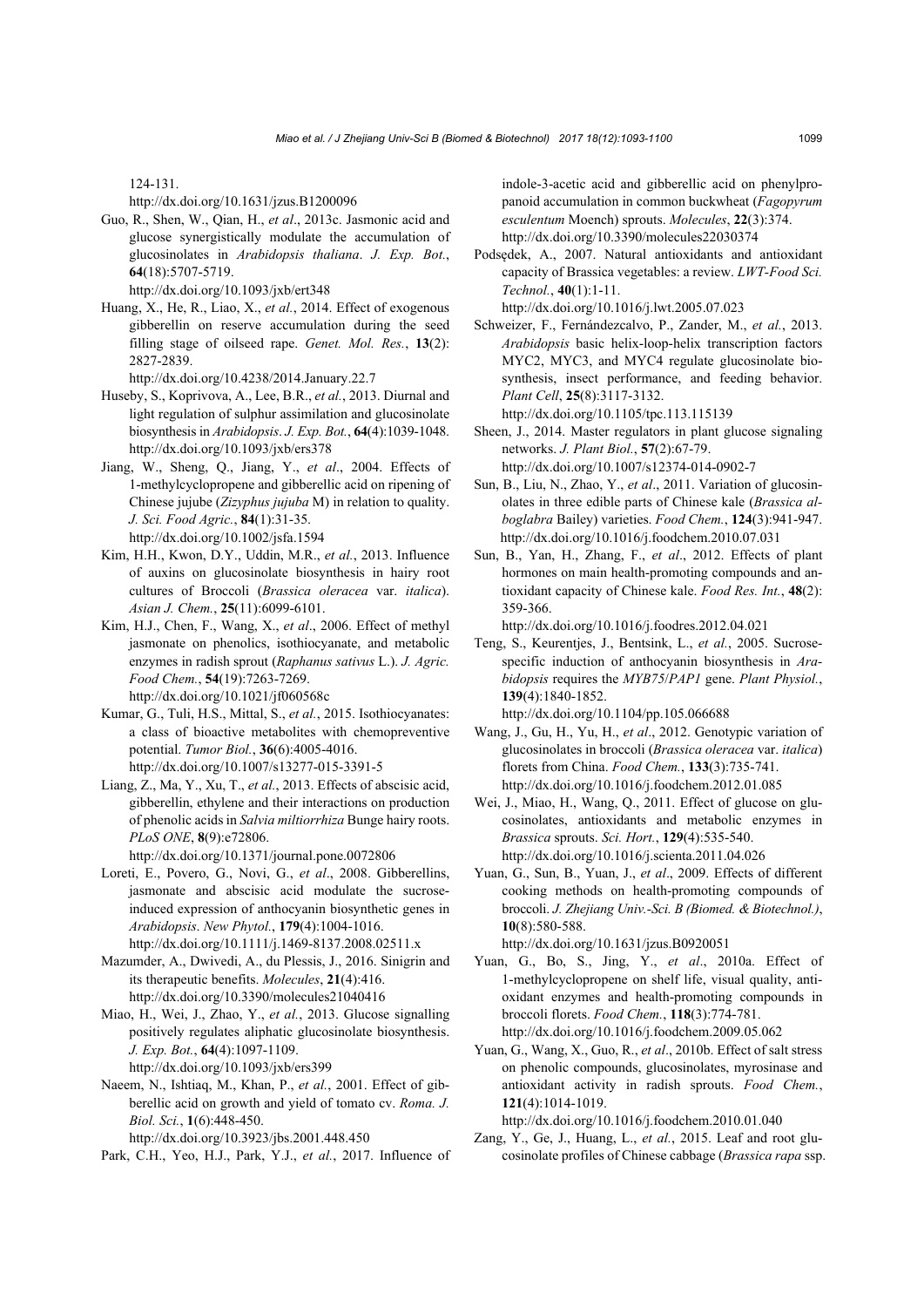124-131.

http://dx.doi.org/10.1631/jzus.B1200096

Guo, R., Shen, W., Qian, H., *et al*., 2013c. Jasmonic acid and glucose synergistically modulate the accumulation of glucosinolates in *Arabidopsis thaliana*. *J. Exp. Bot.*, **64**(18):5707-5719.

http://dx.doi.org/10.1093/jxb/ert348

Huang, X., He, R., Liao, X., *et al.*, 2014. Effect of exogenous gibberellin on reserve accumulation during the seed filling stage of oilseed rape. *Genet. Mol. Res.*, **13**(2): 2827-2839.

http://dx.doi.org/10.4238/2014.January.22.7

- Huseby, S., Koprivova, A., Lee, B.R., *et al.*, 2013. Diurnal and light regulation of sulphur assimilation and glucosinolate biosynthesis in *Arabidopsis*. *J. Exp. Bot.*, **64**(4):1039-1048. http://dx.doi.org/10.1093/jxb/ers378
- Jiang, W., Sheng, Q., Jiang, Y., *et al*., 2004. Effects of 1-methylcyclopropene and gibberellic acid on ripening of Chinese jujube (*Zizyphus jujuba* M) in relation to quality. *J. Sci. Food Agric.*, **84**(1):31-35. http://dx.doi.org/10.1002/jsfa.1594
- Kim, H.H., Kwon, D.Y., Uddin, M.R., *et al.*, 2013. Influence of auxins on glucosinolate biosynthesis in hairy root cultures of Broccoli (*Brassica oleracea* var. *italica*). *Asian J. Chem.*, **25**(11):6099-6101.
- Kim, H.J., Chen, F., Wang, X., *et al*., 2006. Effect of methyl jasmonate on phenolics, isothiocyanate, and metabolic enzymes in radish sprout (*Raphanus sativus* L.). *J. Agric. Food Chem.*, **54**(19):7263-7269. http://dx.doi.org/10.1021/jf060568c
- Kumar, G., Tuli, H.S., Mittal, S., *et al.*, 2015. Isothiocyanates: a class of bioactive metabolites with chemopreventive potential. *Tumor Biol.*, **36**(6):4005-4016. http://dx.doi.org/10.1007/s13277-015-3391-5
- Liang, Z., Ma, Y., Xu, T., *et al.*, 2013. Effects of abscisic acid, gibberellin, ethylene and their interactions on production of phenolic acids in *Salvia miltiorrhiza* Bunge hairy roots. *PLoS ONE*, **8**(9):e72806.

http://dx.doi.org/10.1371/journal.pone.0072806

Loreti, E., Povero, G., Novi, G., *et al*., 2008. Gibberellins, jasmonate and abscisic acid modulate the sucroseinduced expression of anthocyanin biosynthetic genes in *Arabidopsis*. *New Phytol.*, **179**(4):1004-1016.

http://dx.doi.org/10.1111/j.1469-8137.2008.02511.x

- Mazumder, A., Dwivedi, A., du Plessis, J., 2016. Sinigrin and its therapeutic benefits. *Molecules*, **21**(4):416. http://dx.doi.org/10.3390/molecules21040416
- Miao, H., Wei, J., Zhao, Y., *et al.*, 2013. Glucose signalling positively regulates aliphatic glucosinolate biosynthesis. *J. Exp. Bot.*, **64**(4):1097-1109. http://dx.doi.org/10.1093/jxb/ers399

Naeem, N., Ishtiaq, M., Khan, P., *et al.*, 2001. Effect of gibberellic acid on growth and yield of tomato cv. *Roma. J. Biol. Sci.*, **1**(6):448-450.

http://dx.doi.org/10.3923/jbs.2001.448.450 Park, C.H., Yeo, H.J., Park, Y.J., *et al.*, 2017. Influence of indole-3-acetic acid and gibberellic acid on phenylpropanoid accumulation in common buckwheat (*Fagopyrum esculentum* Moench) sprouts. *Molecules*, **22**(3):374. http://dx.doi.org/10.3390/molecules22030374

Podsędek, A., 2007. Natural antioxidants and antioxidant capacity of Brassica vegetables: a review. *LWT-Food Sci. Technol.*, **40**(1):1-11.

http://dx.doi.org/10.1016/j.lwt.2005.07.023

Schweizer, F., Fernándezcalvo, P., Zander, M., *et al.*, 2013. *Arabidopsis* basic helix-loop-helix transcription factors MYC2, MYC3, and MYC4 regulate glucosinolate biosynthesis, insect performance, and feeding behavior. *Plant Cell*, **25**(8):3117-3132.

http://dx.doi.org/10.1105/tpc.113.115139

- Sheen, J., 2014. Master regulators in plant glucose signaling networks. *J. Plant Biol.*, **57**(2):67-79. http://dx.doi.org/10.1007/s12374-014-0902-7
- Sun, B., Liu, N., Zhao, Y., *et al*., 2011. Variation of glucosinolates in three edible parts of Chinese kale (*Brassica alboglabra* Bailey) varieties. *Food Chem.*, **124**(3):941-947. http://dx.doi.org/10.1016/j.foodchem.2010.07.031
- Sun, B., Yan, H., Zhang, F., *et al*., 2012. Effects of plant hormones on main health-promoting compounds and antioxidant capacity of Chinese kale. *Food Res. Int.*, **48**(2): 359-366.

http://dx.doi.org/10.1016/j.foodres.2012.04.021

Teng, S., Keurentjes, J., Bentsink, L., *et al.*, 2005. Sucrosespecific induction of anthocyanin biosynthesis in *Arabidopsis* requires the *MYB75*/*PAP1* gene. *Plant Physiol.*, **139**(4):1840-1852.

http://dx.doi.org/10.1104/pp.105.066688

- Wang, J., Gu, H., Yu, H., *et al*., 2012. Genotypic variation of glucosinolates in broccoli (*Brassica oleracea* var. *italica*) florets from China. *Food Chem.*, **133**(3):735-741. http://dx.doi.org/10.1016/j.foodchem.2012.01.085
- Wei, J., Miao, H., Wang, Q., 2011. Effect of glucose on glucosinolates, antioxidants and metabolic enzymes in *Brassica* sprouts. *Sci. Hort.*, **129**(4):535-540. http://dx.doi.org/10.1016/j.scienta.2011.04.026
- Yuan, G., Sun, B., Yuan, J., *et al*., 2009. Effects of different cooking methods on health-promoting compounds of broccoli. *J. Zhejiang Univ.-Sci. B (Biomed. & Biotechnol.)*, **10**(8):580-588.

http://dx.doi.org/10.1631/jzus.B0920051

- Yuan, G., Bo, S., Jing, Y., *et al*., 2010a. Effect of 1-methylcyclopropene on shelf life, visual quality, antioxidant enzymes and health-promoting compounds in broccoli florets. *Food Chem.*, **118**(3):774-781. http://dx.doi.org/10.1016/j.foodchem.2009.05.062
- Yuan, G., Wang, X., Guo, R., *et al*., 2010b. Effect of salt stress on phenolic compounds, glucosinolates, myrosinase and antioxidant activity in radish sprouts. *Food Chem.*, **121**(4):1014-1019.

http://dx.doi.org/10.1016/j.foodchem.2010.01.040

Zang, Y., Ge, J., Huang, L., *et al.*, 2015. Leaf and root glucosinolate profiles of Chinese cabbage (*Brassica rapa* ssp.